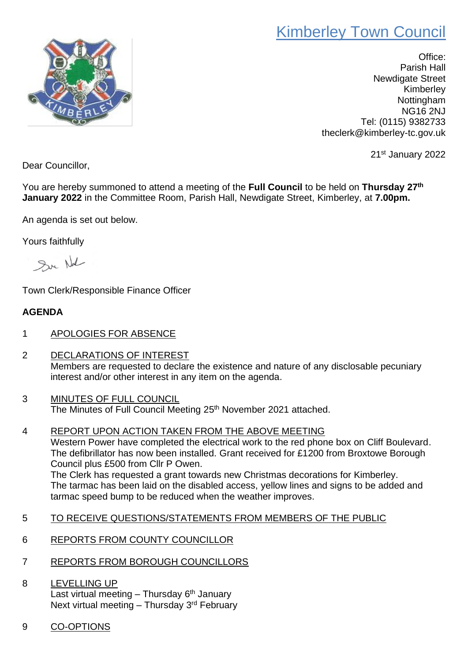## Kimberley Town Council



Office: Parish Hall Newdigate Street Kimberley **Nottingham** NG16 2NJ Tel: (0115) 9382733 theclerk@kimberley-tc.gov.uk

21st January 2022

Dear Councillor,

You are hereby summoned to attend a meeting of the **Full Council** to be held on **Thursday 27th January 2022** in the Committee Room, Parish Hall, Newdigate Street, Kimberley, at **7.00pm.**

An agenda is set out below.

Yours faithfully

Su Nal

Town Clerk/Responsible Finance Officer

## **AGENDA**

- 1 APOLOGIES FOR ABSENCE
- 2 DECLARATIONS OF INTEREST Members are requested to declare the existence and nature of any disclosable pecuniary interest and/or other interest in any item on the agenda.
- 3 MINUTES OF FULL COUNCIL The Minutes of Full Council Meeting 25<sup>th</sup> November 2021 attached.
- 4 REPORT UPON ACTION TAKEN FROM THE ABOVE MEETING Western Power have completed the electrical work to the red phone box on Cliff Boulevard. The defibrillator has now been installed. Grant received for £1200 from Broxtowe Borough Council plus £500 from Cllr P Owen. The Clerk has requested a grant towards new Christmas decorations for Kimberley. The tarmac has been laid on the disabled access, yellow lines and signs to be added and tarmac speed bump to be reduced when the weather improves.
- 5 TO RECEIVE QUESTIONS/STATEMENTS FROM MEMBERS OF THE PUBLIC
- 6 REPORTS FROM COUNTY COUNCILLOR
- 7 REPORTS FROM BOROUGH COUNCILLORS
- 8 LEVELLING UP Last virtual meeting - Thursday 6<sup>th</sup> January Next virtual meeting – Thursday 3<sup>rd</sup> February
- 9 CO-OPTIONS